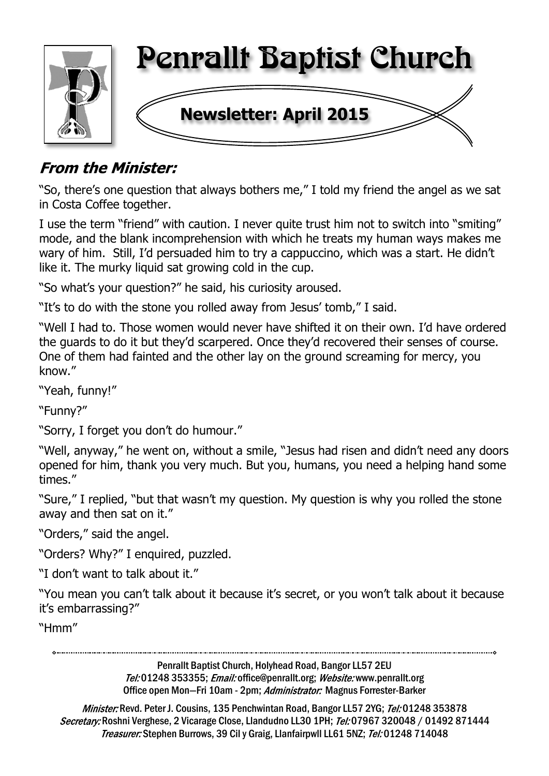

## **From the Minister:**

"So, there's one question that always bothers me," I told my friend the angel as we sat in Costa Coffee together.

I use the term "friend" with caution. I never quite trust him not to switch into "smiting" mode, and the blank incomprehension with which he treats my human ways makes me wary of him. Still, I'd persuaded him to try a cappuccino, which was a start. He didn't like it. The murky liquid sat growing cold in the cup.

"So what's your question?" he said, his curiosity aroused.

"It's to do with the stone you rolled away from Jesus' tomb," I said.

"Well I had to. Those women would never have shifted it on their own. I'd have ordered the guards to do it but they'd scarpered. Once they'd recovered their senses of course. One of them had fainted and the other lay on the ground screaming for mercy, you know."

"Yeah, funny!"

"Funny?"

"Sorry, I forget you don't do humour."

"Well, anyway," he went on, without a smile, "Jesus had risen and didn't need any doors opened for him, thank you very much. But you, humans, you need a helping hand some times."

"Sure," I replied, "but that wasn't my question. My question is why you rolled the stone away and then sat on it."

"Orders," said the angel.

"Orders? Why?" I enquired, puzzled.

"I don't want to talk about it."

"You mean you can't talk about it because it's secret, or you won't talk about it because it's embarrassing?"

"Hmm"

Penrallt Baptist Church, Holyhead Road, Bangor LL57 2EU Tel:01248 353355; Email: office@penrallt.org; Website: www.penrallt.org Office open Mon-Fri 10am - 2pm; Administrator: Magnus Forrester-Barker

Minister: Revd. Peter J. Cousins, 135 Penchwintan Road, Bangor LL57 2YG; Tel: 01248 353878 Secretary: Roshni Verghese, 2 Vicarage Close, Llandudno LL30 1PH; Tel: 07967 320048 / 01492 871444 Treasurer: Stephen Burrows, 39 Cil y Graig, Llanfairpwll LL61 5NZ; Tel: 01248 714048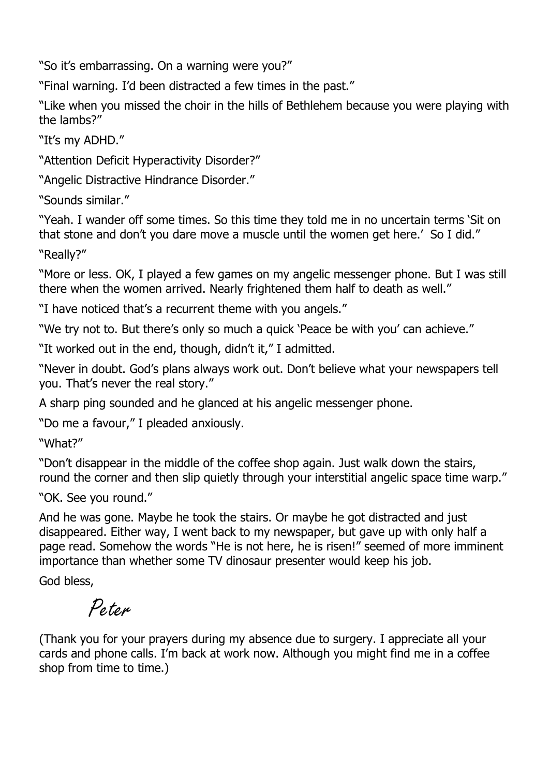"So it's embarrassing. On a warning were you?"

"Final warning. I'd been distracted a few times in the past."

"Like when you missed the choir in the hills of Bethlehem because you were playing with the lambs?"

"It's my ADHD."

"Attention Deficit Hyperactivity Disorder?"

"Angelic Distractive Hindrance Disorder."

"Sounds similar."

"Yeah. I wander off some times. So this time they told me in no uncertain terms 'Sit on that stone and don't you dare move a muscle until the women get here.' So I did."

"Really?"

"More or less. OK, I played a few games on my angelic messenger phone. But I was still there when the women arrived. Nearly frightened them half to death as well."

"I have noticed that's a recurrent theme with you angels."

"We try not to. But there's only so much a quick 'Peace be with you' can achieve."

"It worked out in the end, though, didn't it," I admitted.

"Never in doubt. God's plans always work out. Don't believe what your newspapers tell you. That's never the real story."

A sharp ping sounded and he glanced at his angelic messenger phone.

"Do me a favour," I pleaded anxiously.

"What?"

"Don't disappear in the middle of the coffee shop again. Just walk down the stairs, round the corner and then slip quietly through your interstitial angelic space time warp."

"OK. See you round."

And he was gone. Maybe he took the stairs. Or maybe he got distracted and just disappeared. Either way, I went back to my newspaper, but gave up with only half a page read. Somehow the words "He is not here, he is risen!" seemed of more imminent importance than whether some TV dinosaur presenter would keep his job.

God bless,

# Peter

(Thank you for your prayers during my absence due to surgery. I appreciate all your cards and phone calls. I'm back at work now. Although you might find me in a coffee shop from time to time.)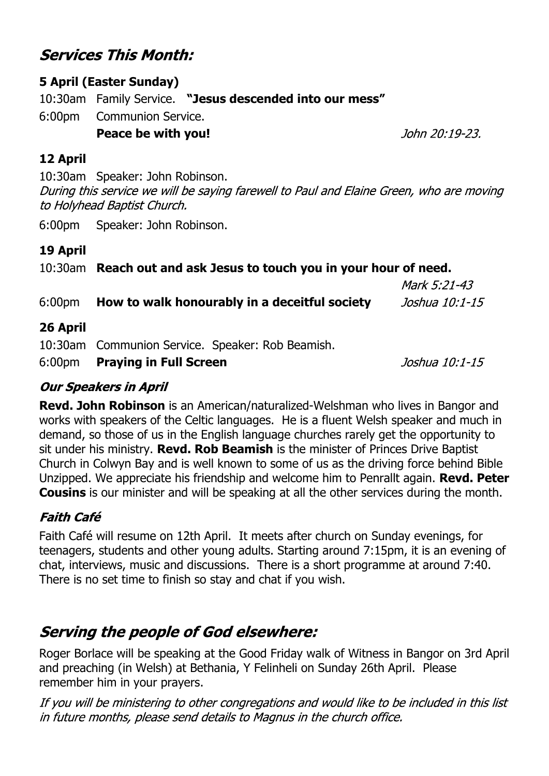## **Services This Month:**

#### **5 April (Easter Sunday)**

10:30am Family Service. **"Jesus descended into our mess"** 6:00pm Communion Service.  **Peace be with you!**

#### **12 April**

10:30am Speaker: John Robinson. During this service we will be saying farewell to Paul and Elaine Green, who are moving to Holyhead Baptist Church.

6:00pm Speaker: John Robinson.

#### **19 April**

#### 10:30am **Reach out and ask Jesus to touch you in your hour of need.**

|                                                      | Mark 5:21-43   |
|------------------------------------------------------|----------------|
| 6:00pm How to walk honourably in a deceitful society | Joshua 10:1-15 |

#### **26 April**

10:30am Communion Service. Speaker: Rob Beamish. 6:00pm **Praying in Full Screen**

 $Josh<sub>u</sub> = 10:1-15$ 

#### **Our Speakers in April**

**Revd. John Robinson** is an American/naturalized-Welshman who lives in Bangor and works with speakers of the Celtic languages. He is a fluent Welsh speaker and much in demand, so those of us in the English language churches rarely get the opportunity to sit under his ministry. **Revd. Rob Beamish** is the minister of Princes Drive Baptist Church in Colwyn Bay and is well known to some of us as the driving force behind Bible Unzipped. We appreciate his friendship and welcome him to Penrallt again. **Revd. Peter Cousins** is our minister and will be speaking at all the other services during the month.

#### **Faith Café**

Faith Café will resume on 12th April. It meets after church on Sunday evenings, for teenagers, students and other young adults. Starting around 7:15pm, it is an evening of chat, interviews, music and discussions. There is a short programme at around 7:40. There is no set time to finish so stay and chat if you wish.

## **Serving the people of God elsewhere:**

Roger Borlace will be speaking at the Good Friday walk of Witness in Bangor on 3rd April and preaching (in Welsh) at Bethania, Y Felinheli on Sunday 26th April. Please remember him in your prayers.

If you will be ministering to other congregations and would like to be included in this list in future months, please send details to Magnus in the church office.

John 20:19-23.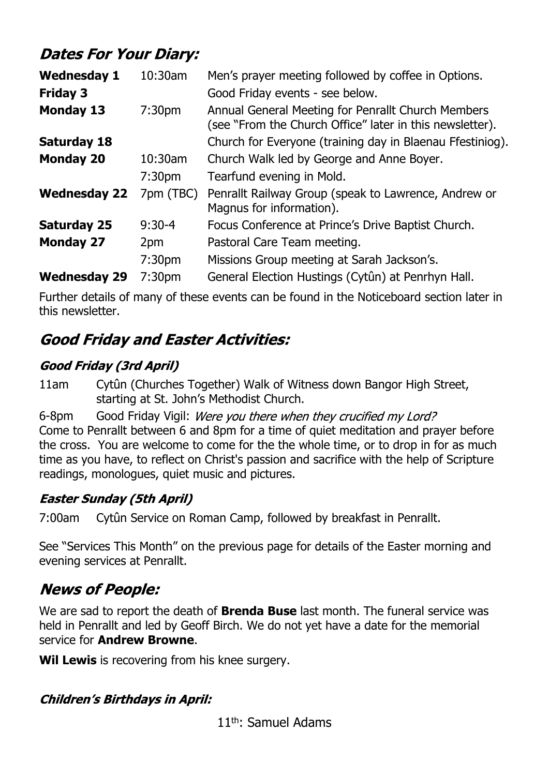## **Dates For Your Diary:**

| <b>Wednesday 1</b><br><b>Friday 3</b> | 10:30am            | Men's prayer meeting followed by coffee in Options.<br>Good Friday events - see below.                         |
|---------------------------------------|--------------------|----------------------------------------------------------------------------------------------------------------|
| <b>Monday 13</b>                      | 7:30 <sub>pm</sub> | Annual General Meeting for Penrallt Church Members<br>(see "From the Church Office" later in this newsletter). |
| <b>Saturday 18</b>                    |                    | Church for Everyone (training day in Blaenau Ffestiniog).                                                      |
| <b>Monday 20</b>                      | $10:30$ am         | Church Walk led by George and Anne Boyer.                                                                      |
|                                       | 7:30 <sub>pm</sub> | Tearfund evening in Mold.                                                                                      |
| <b>Wednesday 22</b>                   | 7pm (TBC)          | Penrallt Railway Group (speak to Lawrence, Andrew or<br>Magnus for information).                               |
| <b>Saturday 25</b>                    | $9:30-4$           | Focus Conference at Prince's Drive Baptist Church.                                                             |
| <b>Monday 27</b>                      | 2pm                | Pastoral Care Team meeting.                                                                                    |
|                                       | 7:30 <sub>pm</sub> | Missions Group meeting at Sarah Jackson's.                                                                     |
| <b>Wednesday 29</b>                   | 7:30 <sub>pm</sub> | General Election Hustings (Cytûn) at Penrhyn Hall.                                                             |
|                                       |                    |                                                                                                                |

Further details of many of these events can be found in the Noticeboard section later in this newsletter.

## **Good Friday and Easter Activities:**

### **Good Friday (3rd April)**

11am Cytûn (Churches Together) Walk of Witness down Bangor High Street, starting at St. John's Methodist Church.

6-8pm Good Friday Vigil: Were you there when they crucified my Lord? Come to Penrallt between 6 and 8pm for a time of quiet meditation and prayer before the cross. You are welcome to come for the the whole time, or to drop in for as much time as you have, to reflect on Christ's passion and sacrifice with the help of Scripture readings, monologues, quiet music and pictures.

### **Easter Sunday (5th April)**

7:00am Cytûn Service on Roman Camp, followed by breakfast in Penrallt.

See "Services This Month" on the previous page for details of the Easter morning and evening services at Penrallt.

## **News of People:**

We are sad to report the death of **Brenda Buse** last month. The funeral service was held in Penrallt and led by Geoff Birch. We do not yet have a date for the memorial service for **Andrew Browne**.

**Wil Lewis** is recovering from his knee surgery.

### **Children's Birthdays in April:**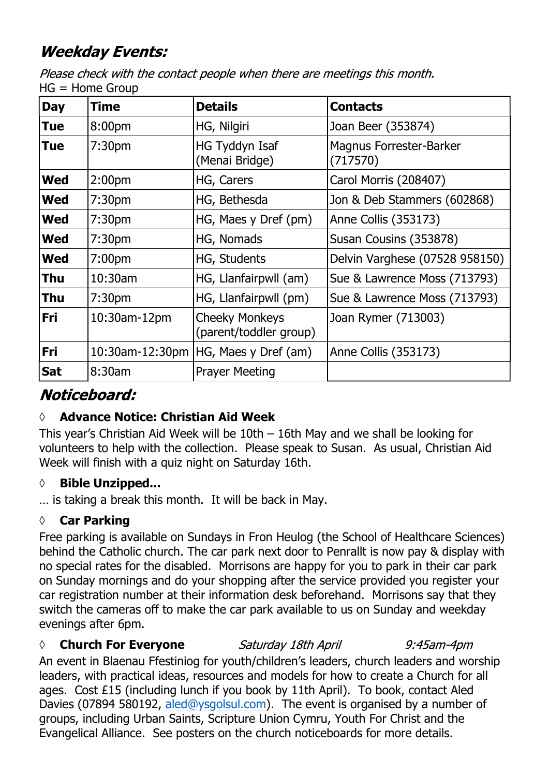## **Weekday Events:**

Please check with the contact people when there are meetings this month.  $HG = Home$  Group

| <b>Day</b> | <b>Time</b>        | <b>Details</b>                                  | <b>Contacts</b>                            |
|------------|--------------------|-------------------------------------------------|--------------------------------------------|
| <b>Tue</b> | 8:00pm             | HG, Nilgiri                                     | Joan Beer (353874)                         |
| <b>Tue</b> | 7:30 <sub>pm</sub> | HG Tyddyn Isaf<br>(Menai Bridge)                | <b>Magnus Forrester-Barker</b><br>(717570) |
| <b>Wed</b> | 2:00 <sub>pm</sub> | HG, Carers                                      | Carol Morris (208407)                      |
| <b>Wed</b> | 7:30 <sub>pm</sub> | HG, Bethesda                                    | Jon & Deb Stammers (602868)                |
| <b>Wed</b> | 7:30 <sub>pm</sub> | HG, Maes y Dref (pm)                            | Anne Collis (353173)                       |
| <b>Wed</b> | 7:30 <sub>pm</sub> | HG, Nomads                                      | Susan Cousins (353878)                     |
| Wed        | 7:00 <sub>pm</sub> | HG, Students                                    | Delvin Varghese (07528 958150)             |
| Thu        | $10:30$ am         | HG, Llanfairpwll (am)                           | Sue & Lawrence Moss (713793)               |
| Thu        | 7:30 <sub>pm</sub> | HG, Llanfairpwll (pm)                           | Sue & Lawrence Moss (713793)               |
| <b>Fri</b> | 10:30am-12pm       | <b>Cheeky Monkeys</b><br>(parent/toddler group) | Joan Rymer (713003)                        |
| Fri        | 10:30am-12:30pm    | HG, Maes y Dref (am)                            | Anne Collis (353173)                       |
| <b>Sat</b> | 8:30am             | <b>Prayer Meeting</b>                           |                                            |

## Noticeboard:

### **◊ Advance Notice: Christian Aid Week**

This year's Christian Aid Week will be 10th – 16th May and we shall be looking for volunteers to help with the collection. Please speak to Susan. As usual, Christian Aid Week will finish with a quiz night on Saturday 16th.

#### *◊* **Bible Unzipped...**

… is taking a break this month. It will be back in May.

#### **◊ Car Parking**

Free parking is available on Sundays in Fron Heulog (the School of Healthcare Sciences) behind the Catholic church. The car park next door to Penrallt is now pay & display with no special rates for the disabled. Morrisons are happy for you to park in their car park on Sunday mornings and do your shopping after the service provided you register your car registration number at their information desk beforehand. Morrisons say that they switch the cameras off to make the car park available to us on Sunday and weekday evenings after 6pm.

#### *◊* **Church For Everyone** Saturday 18th April

 $9:45$ am- $4$ pm

An event in Blaenau Ffestiniog for youth/children's leaders, church leaders and worship leaders, with practical ideas, resources and models for how to create a Church for all ages. Cost £15 (including lunch if you book by 11th April). To book, contact Aled Davies (07894 580192, aled@ysgolsul.com). The event is organised by a number of groups, including Urban Saints, Scripture Union Cymru, Youth For Christ and the Evangelical Alliance. See posters on the church noticeboards for more details.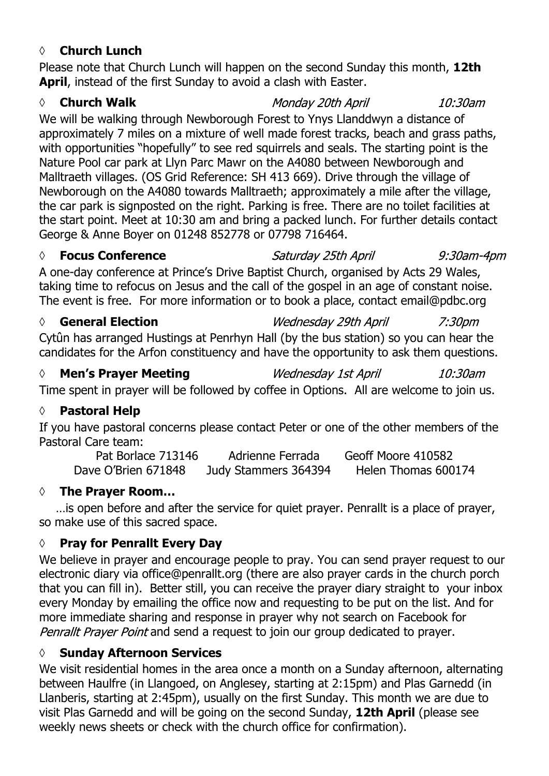#### **◊ Church Lunch**

Please note that Church Lunch will happen on the second Sunday this month, **12th April**, instead of the first Sunday to avoid a clash with Easter.

#### *◊* **Church Walk**

We will be walking through Newborough Forest to Ynys Llanddwyn a distance of approximately 7 miles on a mixture of well made forest tracks, beach and grass paths, with opportunities "hopefully" to see red squirrels and seals. The starting point is the Nature Pool car park at Llyn Parc Mawr on the A4080 between Newborough and Malltraeth villages. (OS Grid Reference: SH 413 669). Drive through the village of Newborough on the A4080 towards Malltraeth; approximately a mile after the village, the car park is signposted on the right. Parking is free. There are no toilet facilities at the start point. Meet at 10:30 am and bring a packed lunch. For further details contact George & Anne Boyer on 01248 852778 or 07798 716464.

*◊* **Focus Conference**

Saturday 25th April 9:30am-4pm

A one-day conference at Prince's Drive Baptist Church, organised by Acts 29 Wales, taking time to refocus on Jesus and the call of the gospel in an age of constant noise. The event is free. For more information or to book a place, contact email@pdbc.org

#### *◊* **General Election** Wednesday 29th April  $7:30$ pm

Cytûn has arranged Hustings at Penrhyn Hall (by the bus station) so you can hear the candidates for the Arfon constituency and have the opportunity to ask them questions.

*◊* **Men's Prayer Meeting Wednesday 1st April**  $10:30$ am Time spent in prayer will be followed by coffee in Options. All are welcome to join us.

### **◊ Pastoral Help**

If you have pastoral concerns please contact Peter or one of the other members of the Pastoral Care team:

Pat Borlace 713146 Adrienne Ferrada Geoff Moore 410582 Dave O'Brien 671848 Judy Stammers 364394 Helen Thomas 600174

### **◊ The Prayer Room…**

…is open before and after the service for quiet prayer. Penrallt is a place of prayer, so make use of this sacred space.

### **◊ Pray for Penrallt Every Day**

We believe in prayer and encourage people to pray. You can send prayer request to our electronic diary via office@penrallt.org (there are also prayer cards in the church porch that you can fill in). Better still, you can receive the prayer diary straight to your inbox every Monday by emailing the office now and requesting to be put on the list. And for more immediate sharing and response in prayer why not search on Facebook for Penrallt Prayer Point and send a request to join our group dedicated to prayer.

### **◊ Sunday Afternoon Services**

We visit residential homes in the area once a month on a Sunday afternoon, alternating between Haulfre (in Llangoed, on Anglesey, starting at 2:15pm) and Plas Garnedd (in Llanberis, starting at 2:45pm), usually on the first Sunday. This month we are due to visit Plas Garnedd and will be going on the second Sunday, **12th April** (please see weekly news sheets or check with the church office for confirmation).

Monday 20th April

10:30am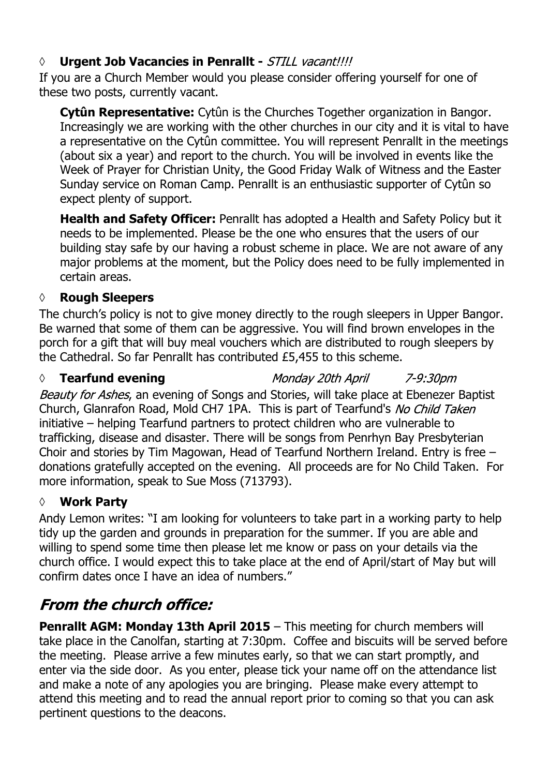#### *◊* **Urgent Job Vacancies in Penrallt -**

If you are a Church Member would you please consider offering yourself for one of these two posts, currently vacant.

**Cytûn Representative:** Cytûn is the Churches Together organization in Bangor. Increasingly we are working with the other churches in our city and it is vital to have a representative on the Cytûn committee. You will represent Penrallt in the meetings (about six a year) and report to the church. You will be involved in events like the Week of Prayer for Christian Unity, the Good Friday Walk of Witness and the Easter Sunday service on Roman Camp. Penrallt is an enthusiastic supporter of Cytûn so expect plenty of support.

**Health and Safety Officer:** Penrallt has adopted a Health and Safety Policy but it needs to be implemented. Please be the one who ensures that the users of our building stay safe by our having a robust scheme in place. We are not aware of any major problems at the moment, but the Policy does need to be fully implemented in certain areas.

#### **◊ Rough Sleepers**

The church's policy is not to give money directly to the rough sleepers in Upper Bangor. Be warned that some of them can be aggressive. You will find brown envelopes in the porch for a gift that will buy meal vouchers which are distributed to rough sleepers by the Cathedral. So far Penrallt has contributed £5,455 to this scheme.

#### *◊* **Tearfund evening**

Monday 20th April

7-9:30pm

Beauty for Ashes, an evening of Songs and Stories, will take place at Ebenezer Baptist Church, Glanrafon Road, Mold CH7 1PA. This is part of Tearfund's No Child Taken initiative – helping Tearfund partners to protect children who are vulnerable to trafficking, disease and disaster. There will be songs from Penrhyn Bay Presbyterian Choir and stories by Tim Magowan, Head of Tearfund Northern Ireland. Entry is free – donations gratefully accepted on the evening. All proceeds are for No Child Taken. For more information, speak to Sue Moss (713793).

#### **◊ Work Party**

Andy Lemon writes: "I am looking for volunteers to take part in a working party to help tidy up the garden and grounds in preparation for the summer. If you are able and willing to spend some time then please let me know or pass on your details via the church office. I would expect this to take place at the end of April/start of May but will confirm dates once I have an idea of numbers."

## **From the church office:**

**Penrallt AGM: Monday 13th April 2015** – This meeting for church members will take place in the Canolfan, starting at 7:30pm. Coffee and biscuits will be served before the meeting. Please arrive a few minutes early, so that we can start promptly, and enter via the side door. As you enter, please tick your name off on the attendance list and make a note of any apologies you are bringing. Please make every attempt to attend this meeting and to read the annual report prior to coming so that you can ask pertinent questions to the deacons.